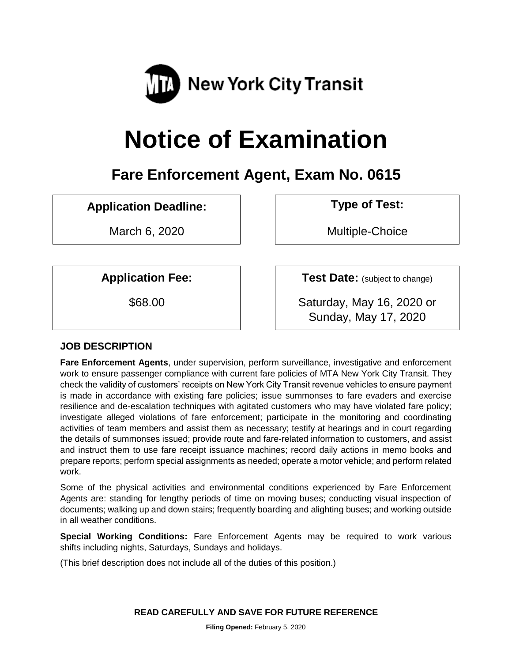

# **Notice of Examination**

# **Fare Enforcement Agent, Exam No. 0615**

# **Application Deadline: Type of Test:**

March 6, 2020 | Nultiple-Choice

**Application Fee:**  $\vert$  **Test Date:** (subject to change)

\$68.00 Saturday, May 16, 2020 or Sunday, May 17, 2020

# **JOB DESCRIPTION**

**Fare Enforcement Agents**, under supervision, perform surveillance, investigative and enforcement work to ensure passenger compliance with current fare policies of MTA New York City Transit. They check the validity of customers' receipts on New York City Transit revenue vehicles to ensure payment is made in accordance with existing fare policies; issue summonses to fare evaders and exercise resilience and de-escalation techniques with agitated customers who may have violated fare policy; investigate alleged violations of fare enforcement; participate in the monitoring and coordinating activities of team members and assist them as necessary; testify at hearings and in court regarding the details of summonses issued; provide route and fare-related information to customers, and assist and instruct them to use fare receipt issuance machines; record daily actions in memo books and prepare reports; perform special assignments as needed; operate a motor vehicle; and perform related work.

Some of the physical activities and environmental conditions experienced by Fare Enforcement Agents are: standing for lengthy periods of time on moving buses; conducting visual inspection of documents; walking up and down stairs; frequently boarding and alighting buses; and working outside in all weather conditions.

**Special Working Conditions:** Fare Enforcement Agents may be required to work various shifts including nights, Saturdays, Sundays and holidays.

(This brief description does not include all of the duties of this position.)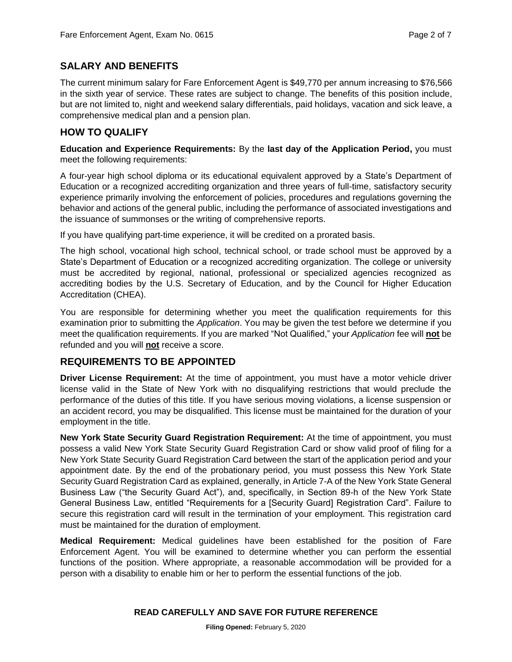### **SALARY AND BENEFITS**

The current minimum salary for Fare Enforcement Agent is \$49,770 per annum increasing to \$76,566 in the sixth year of service. These rates are subject to change. The benefits of this position include, but are not limited to, night and weekend salary differentials, paid holidays, vacation and sick leave, a comprehensive medical plan and a pension plan.

#### **HOW TO QUALIFY**

**Education and Experience Requirements:** By the **last day of the Application Period,** you must meet the following requirements:

A four-year high school diploma or its educational equivalent approved by a State's Department of Education or a recognized accrediting organization and three years of full-time, satisfactory security experience primarily involving the enforcement of policies, procedures and regulations governing the behavior and actions of the general public, including the performance of associated investigations and the issuance of summonses or the writing of comprehensive reports.

If you have qualifying part-time experience, it will be credited on a prorated basis.

The high school, vocational high school, technical school, or trade school must be approved by a State's Department of Education or a recognized accrediting organization. The college or university must be accredited by regional, national, professional or specialized agencies recognized as accrediting bodies by the U.S. Secretary of Education, and by the Council for Higher Education Accreditation (CHEA).

You are responsible for determining whether you meet the qualification requirements for this examination prior to submitting the *Application*. You may be given the test before we determine if you meet the qualification requirements. If you are marked "Not Qualified," your *Application* fee will **not** be refunded and you will **not** receive a score.

#### **REQUIREMENTS TO BE APPOINTED**

**Driver License Requirement:** At the time of appointment, you must have a motor vehicle driver license valid in the State of New York with no disqualifying restrictions that would preclude the performance of the duties of this title. If you have serious moving violations, a license suspension or an accident record, you may be disqualified. This license must be maintained for the duration of your employment in the title.

**New York State Security Guard Registration Requirement:** At the time of appointment, you must possess a valid New York State Security Guard Registration Card or show valid proof of filing for a New York State Security Guard Registration Card between the start of the application period and your appointment date. By the end of the probationary period, you must possess this New York State Security Guard Registration Card as explained, generally, in Article 7-A of the New York State General Business Law ("the Security Guard Act"), and, specifically, in Section 89-h of the New York State General Business Law, entitled "Requirements for a [Security Guard] Registration Card". Failure to secure this registration card will result in the termination of your employment. This registration card must be maintained for the duration of employment.

**Medical Requirement:** Medical guidelines have been established for the position of Fare Enforcement Agent. You will be examined to determine whether you can perform the essential functions of the position. Where appropriate, a reasonable accommodation will be provided for a person with a disability to enable him or her to perform the essential functions of the job.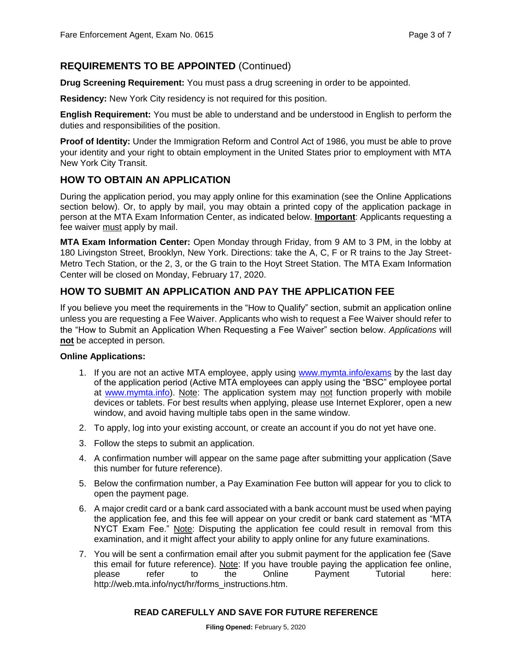## **REQUIREMENTS TO BE APPOINTED** (Continued)

**Drug Screening Requirement:** You must pass a drug screening in order to be appointed.

**Residency:** New York City residency is not required for this position.

**English Requirement:** You must be able to understand and be understood in English to perform the duties and responsibilities of the position.

**Proof of Identity:** Under the Immigration Reform and Control Act of 1986, you must be able to prove your identity and your right to obtain employment in the United States prior to employment with MTA New York City Transit.

#### **HOW TO OBTAIN AN APPLICATION**

During the application period, you may apply online for this examination (see the Online Applications section below). Or, to apply by mail, you may obtain a printed copy of the application package in person at the MTA Exam Information Center, as indicated below. **Important**: Applicants requesting a fee waiver must apply by mail.

**MTA Exam Information Center:** Open Monday through Friday, from 9 AM to 3 PM, in the lobby at 180 Livingston Street, Brooklyn, New York. Directions: take the A, C, F or R trains to the Jay Street-Metro Tech Station, or the 2, 3, or the G train to the Hoyt Street Station. The MTA Exam Information Center will be closed on Monday, February 17, 2020.

## **HOW TO SUBMIT AN APPLICATION AND PAY THE APPLICATION FEE**

If you believe you meet the requirements in the "How to Qualify" section, submit an application online unless you are requesting a Fee Waiver. Applicants who wish to request a Fee Waiver should refer to the "How to Submit an Application When Requesting a Fee Waiver" section below. *Applications* will **not** be accepted in person.

#### **Online Applications:**

- 1. If you are not an active MTA employee, apply using [www.mymta.info/exams](http://www.mymta.info/exams) by the last day of the application period (Active MTA employees can apply using the "BSC" employee portal at [www.mymta.info\)](http://www.mymta.info/). Note: The application system may not function properly with mobile devices or tablets. For best results when applying, please use Internet Explorer, open a new window, and avoid having multiple tabs open in the same window.
- 2. To apply, log into your existing account, or create an account if you do not yet have one.
- 3. Follow the steps to submit an application.
- 4. A confirmation number will appear on the same page after submitting your application (Save this number for future reference).
- 5. Below the confirmation number, a Pay Examination Fee button will appear for you to click to open the payment page.
- 6. A major credit card or a bank card associated with a bank account must be used when paying the application fee, and this fee will appear on your credit or bank card statement as "MTA NYCT Exam Fee." Note: Disputing the application fee could result in removal from this examination, and it might affect your ability to apply online for any future examinations.
- 7. You will be sent a confirmation email after you submit payment for the application fee (Save this email for future reference). Note: If you have trouble paying the application fee online, please refer to the Online Payment Tutorial here: http://web.mta.info/nyct/hr/forms\_instructions.htm.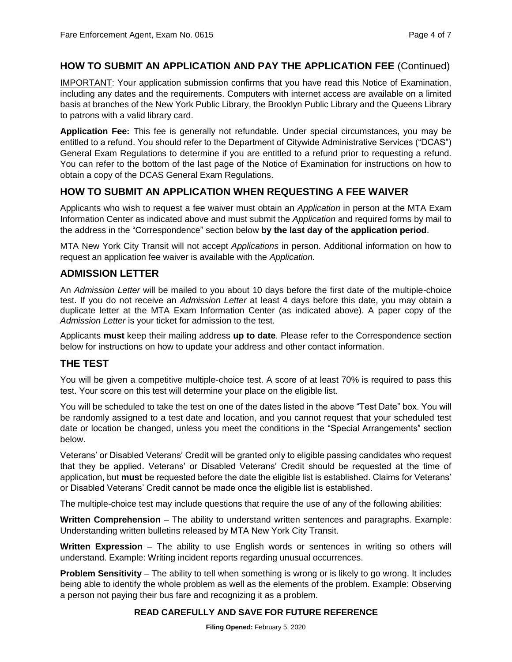#### **HOW TO SUBMIT AN APPLICATION AND PAY THE APPLICATION FEE** (Continued)

IMPORTANT: Your application submission confirms that you have read this Notice of Examination, including any dates and the requirements. Computers with internet access are available on a limited basis at branches of the New York Public Library, the Brooklyn Public Library and the Queens Library to patrons with a valid library card.

**Application Fee:** This fee is generally not refundable. Under special circumstances, you may be entitled to a refund. You should refer to the Department of Citywide Administrative Services ("DCAS") General Exam Regulations to determine if you are entitled to a refund prior to requesting a refund. You can refer to the bottom of the last page of the Notice of Examination for instructions on how to obtain a copy of the DCAS General Exam Regulations.

## **HOW TO SUBMIT AN APPLICATION WHEN REQUESTING A FEE WAIVER**

Applicants who wish to request a fee waiver must obtain an *Application* in person at the MTA Exam Information Center as indicated above and must submit the *Application* and required forms by mail to the address in the "Correspondence" section below **by the last day of the application period**.

MTA New York City Transit will not accept *Applications* in person. Additional information on how to request an application fee waiver is available with the *Application.*

#### **ADMISSION LETTER**

An *Admission Letter* will be mailed to you about 10 days before the first date of the multiple-choice test. If you do not receive an *Admission Letter* at least 4 days before this date, you may obtain a duplicate letter at the MTA Exam Information Center (as indicated above). A paper copy of the *Admission Letter* is your ticket for admission to the test.

Applicants **must** keep their mailing address **up to date**. Please refer to the Correspondence section below for instructions on how to update your address and other contact information.

#### **THE TEST**

You will be given a competitive multiple-choice test. A score of at least 70% is required to pass this test. Your score on this test will determine your place on the eligible list.

You will be scheduled to take the test on one of the dates listed in the above "Test Date" box. You will be randomly assigned to a test date and location, and you cannot request that your scheduled test date or location be changed, unless you meet the conditions in the "Special Arrangements" section below.

Veterans' or Disabled Veterans' Credit will be granted only to eligible passing candidates who request that they be applied. Veterans' or Disabled Veterans' Credit should be requested at the time of application, but **must** be requested before the date the eligible list is established. Claims for Veterans' or Disabled Veterans' Credit cannot be made once the eligible list is established.

The multiple-choice test may include questions that require the use of any of the following abilities:

**Written Comprehension** – The ability to understand written sentences and paragraphs. Example: Understanding written bulletins released by MTA New York City Transit.

**Written Expression** – The ability to use English words or sentences in writing so others will understand. Example: Writing incident reports regarding unusual occurrences.

**Problem Sensitivity** – The ability to tell when something is wrong or is likely to go wrong. It includes being able to identify the whole problem as well as the elements of the problem. Example: Observing a person not paying their bus fare and recognizing it as a problem.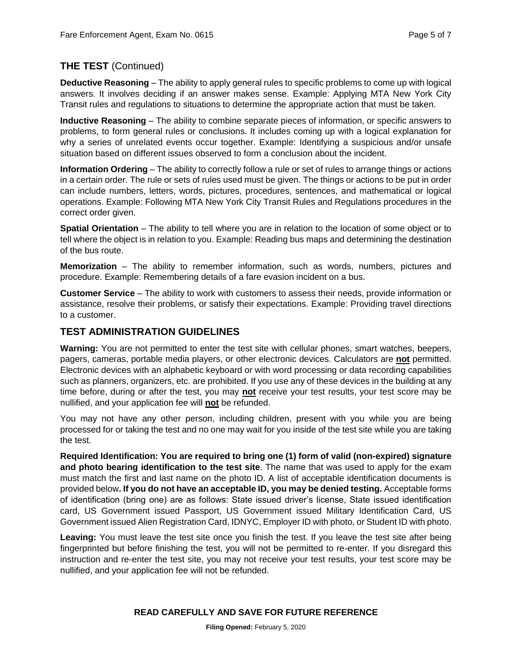## **THE TEST** (Continued)

**Deductive Reasoning** – The ability to apply general rules to specific problems to come up with logical answers. It involves deciding if an answer makes sense. Example: Applying MTA New York City Transit rules and regulations to situations to determine the appropriate action that must be taken.

**Inductive Reasoning** – The ability to combine separate pieces of information, or specific answers to problems, to form general rules or conclusions. It includes coming up with a logical explanation for why a series of unrelated events occur together. Example: Identifying a suspicious and/or unsafe situation based on different issues observed to form a conclusion about the incident.

**Information Ordering** – The ability to correctly follow a rule or set of rules to arrange things or actions in a certain order. The rule or sets of rules used must be given. The things or actions to be put in order can include numbers, letters, words, pictures, procedures, sentences, and mathematical or logical operations. Example: Following MTA New York City Transit Rules and Regulations procedures in the correct order given.

**Spatial Orientation** – The ability to tell where you are in relation to the location of some object or to tell where the object is in relation to you. Example: Reading bus maps and determining the destination of the bus route.

**Memorization** – The ability to remember information, such as words, numbers, pictures and procedure. Example: Remembering details of a fare evasion incident on a bus.

**Customer Service** – The ability to work with customers to assess their needs, provide information or assistance, resolve their problems, or satisfy their expectations. Example: Providing travel directions to a customer.

#### **TEST ADMINISTRATION GUIDELINES**

**Warning:** You are not permitted to enter the test site with cellular phones, smart watches, beepers, pagers, cameras, portable media players, or other electronic devices. Calculators are **not** permitted. Electronic devices with an alphabetic keyboard or with word processing or data recording capabilities such as planners, organizers, etc. are prohibited. If you use any of these devices in the building at any time before, during or after the test, you may **not** receive your test results, your test score may be nullified, and your application fee will **not** be refunded.

You may not have any other person, including children, present with you while you are being processed for or taking the test and no one may wait for you inside of the test site while you are taking the test.

**Required Identification: You are required to bring one (1) form of valid (non-expired) signature and photo bearing identification to the test site**. The name that was used to apply for the exam must match the first and last name on the photo ID. A list of acceptable identification documents is provided below**. If you do not have an acceptable ID, you may be denied testing.** Acceptable forms of identification (bring one) are as follows: State issued driver's license, State issued identification card, US Government issued Passport, US Government issued Military Identification Card, US Government issued Alien Registration Card, IDNYC, Employer ID with photo, or Student ID with photo.

Leaving: You must leave the test site once you finish the test. If you leave the test site after being fingerprinted but before finishing the test, you will not be permitted to re-enter. If you disregard this instruction and re-enter the test site, you may not receive your test results, your test score may be nullified, and your application fee will not be refunded.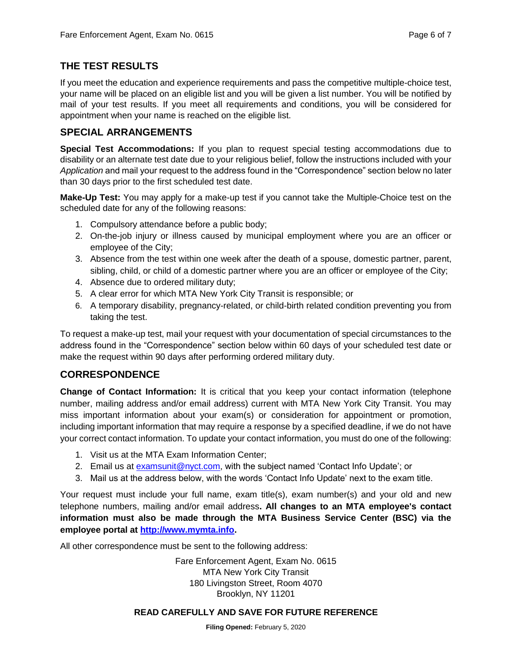### **THE TEST RESULTS**

If you meet the education and experience requirements and pass the competitive multiple-choice test, your name will be placed on an eligible list and you will be given a list number. You will be notified by mail of your test results. If you meet all requirements and conditions, you will be considered for appointment when your name is reached on the eligible list.

#### **SPECIAL ARRANGEMENTS**

**Special Test Accommodations:** If you plan to request special testing accommodations due to disability or an alternate test date due to your religious belief, follow the instructions included with your *Application* and mail your request to the address found in the "Correspondence" section below no later than 30 days prior to the first scheduled test date.

**Make-Up Test:** You may apply for a make-up test if you cannot take the Multiple-Choice test on the scheduled date for any of the following reasons:

- 1. Compulsory attendance before a public body;
- 2. On-the-job injury or illness caused by municipal employment where you are an officer or employee of the City;
- 3. Absence from the test within one week after the death of a spouse, domestic partner, parent, sibling, child, or child of a domestic partner where you are an officer or employee of the City;
- 4. Absence due to ordered military duty;
- 5. A clear error for which MTA New York City Transit is responsible; or
- 6. A temporary disability, pregnancy-related, or child-birth related condition preventing you from taking the test.

To request a make-up test, mail your request with your documentation of special circumstances to the address found in the "Correspondence" section below within 60 days of your scheduled test date or make the request within 90 days after performing ordered military duty.

# **CORRESPONDENCE**

**Change of Contact Information:** It is critical that you keep your contact information (telephone number, mailing address and/or email address) current with MTA New York City Transit. You may miss important information about your exam(s) or consideration for appointment or promotion, including important information that may require a response by a specified deadline, if we do not have your correct contact information. To update your contact information, you must do one of the following:

- 1. Visit us at the MTA Exam Information Center;
- 2. Email us at [examsunit@nyct.com,](mailto:examsunit@nyct.com) with the subject named 'Contact Info Update'; or
- 3. Mail us at the address below, with the words 'Contact Info Update' next to the exam title.

Your request must include your full name, exam title(s), exam number(s) and your old and new telephone numbers, mailing and/or email address**. All changes to an MTA employee's contact information must also be made through the MTA Business Service Center (BSC) via the employee portal at [http://www.mymta.info.](http://www.mymta.info/)** 

All other correspondence must be sent to the following address:

Fare Enforcement Agent, Exam No. 0615 MTA New York City Transit 180 Livingston Street, Room 4070 Brooklyn, NY 11201

#### **READ CAREFULLY AND SAVE FOR FUTURE REFERENCE**

**Filing Opened:** February 5, 2020